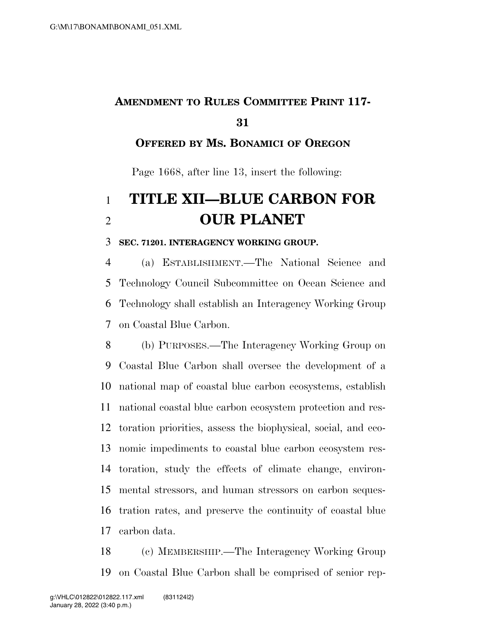## **AMENDMENT TO RULES COMMITTEE PRINT 117-**

#### **OFFERED BY MS. BONAMICI OF OREGON**

Page 1668, after line 13, insert the following:

# **TITLE XII—BLUE CARBON FOR OUR PLANET**

#### **SEC. 71201. INTERAGENCY WORKING GROUP.**

 (a) ESTABLISHMENT.—The National Science and Technology Council Subcommittee on Ocean Science and Technology shall establish an Interagency Working Group on Coastal Blue Carbon.

 (b) PURPOSES.—The Interagency Working Group on Coastal Blue Carbon shall oversee the development of a national map of coastal blue carbon ecosystems, establish national coastal blue carbon ecosystem protection and res- toration priorities, assess the biophysical, social, and eco- nomic impediments to coastal blue carbon ecosystem res- toration, study the effects of climate change, environ- mental stressors, and human stressors on carbon seques- tration rates, and preserve the continuity of coastal blue carbon data.

 (c) MEMBERSHIP.—The Interagency Working Group on Coastal Blue Carbon shall be comprised of senior rep-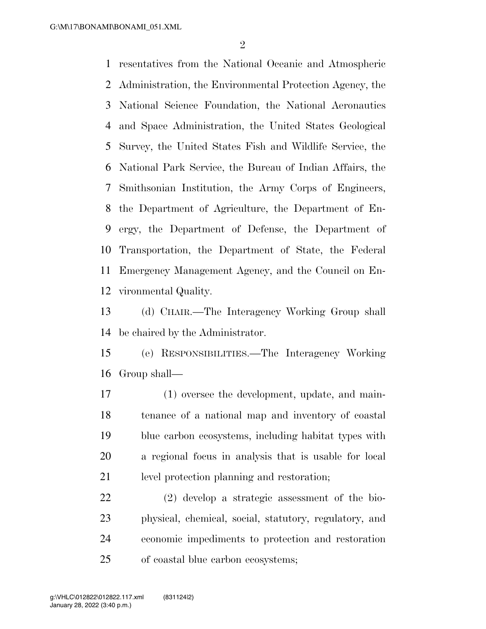resentatives from the National Oceanic and Atmospheric Administration, the Environmental Protection Agency, the National Science Foundation, the National Aeronautics and Space Administration, the United States Geological Survey, the United States Fish and Wildlife Service, the National Park Service, the Bureau of Indian Affairs, the Smithsonian Institution, the Army Corps of Engineers, the Department of Agriculture, the Department of En- ergy, the Department of Defense, the Department of Transportation, the Department of State, the Federal Emergency Management Agency, and the Council on En-vironmental Quality.

 (d) CHAIR.—The Interagency Working Group shall be chaired by the Administrator.

 (e) RESPONSIBILITIES.—The Interagency Working Group shall—

 (1) oversee the development, update, and main- tenance of a national map and inventory of coastal blue carbon ecosystems, including habitat types with a regional focus in analysis that is usable for local level protection planning and restoration;

 (2) develop a strategic assessment of the bio- physical, chemical, social, statutory, regulatory, and economic impediments to protection and restoration of coastal blue carbon ecosystems;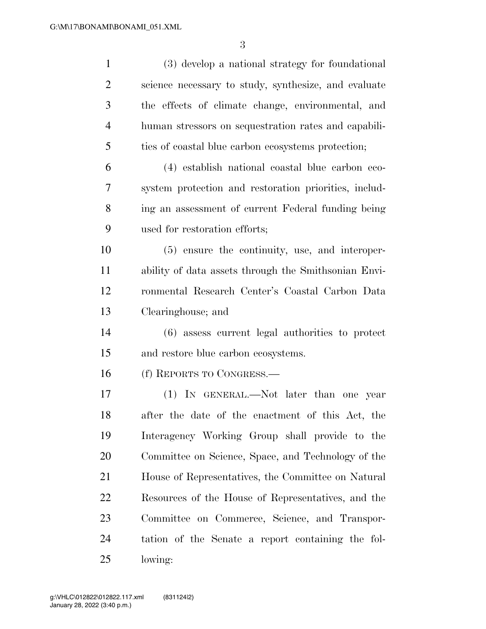| $\mathbf{1}$   | (3) develop a national strategy for foundational      |
|----------------|-------------------------------------------------------|
| $\overline{2}$ | science necessary to study, synthesize, and evaluate  |
| 3              | the effects of climate change, environmental, and     |
| $\overline{4}$ | human stressors on sequestration rates and capabili-  |
| 5              | ties of coastal blue carbon ecosystems protection;    |
| 6              | (4) establish national coastal blue carbon eco-       |
| 7              | system protection and restoration priorities, includ- |
| 8              | ing an assessment of current Federal funding being    |
| 9              | used for restoration efforts;                         |
| 10             | (5) ensure the continuity, use, and interoper-        |
| 11             | ability of data assets through the Smithsonian Envi-  |
| 12             | ronmental Research Center's Coastal Carbon Data       |
| 13             | Clearinghouse; and                                    |
| 14             | (6) assess current legal authorities to protect       |
| 15             | and restore blue carbon ecosystems.                   |
| 16             | (f) REPORTS TO CONGRESS.—                             |
| 17             | (1) IN GENERAL.—Not later than one year               |
| 18             | after the date of the enactment of this Act, the      |
| 19             | Interagency Working Group shall provide to the        |
| 20             | Committee on Science, Space, and Technology of the    |
| 21             | House of Representatives, the Committee on Natural    |
| 22             | Resources of the House of Representatives, and the    |
| 23             | Committee on Commerce, Science, and Transpor-         |
| 24             | tation of the Senate a report containing the fol-     |
| 25             | lowing:                                               |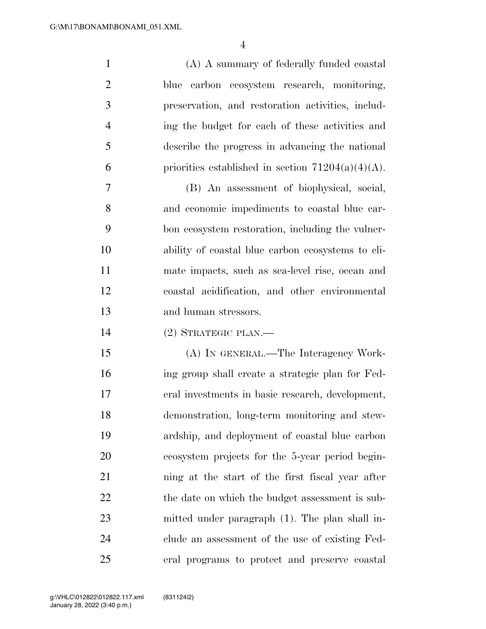(A) A summary of federally funded coastal blue carbon ecosystem research, monitoring, preservation, and restoration activities, includ- ing the budget for each of these activities and describe the progress in advancing the national 6 priorities established in section  $71204(a)(4)(A)$ .

 (B) An assessment of biophysical, social, and economic impediments to coastal blue car- bon ecosystem restoration, including the vulner- ability of coastal blue carbon ecosystems to cli- mate impacts, such as sea-level rise, ocean and coastal acidification, and other environmental and human stressors.

(2) STRATEGIC PLAN.—

 (A) IN GENERAL.—The Interagency Work- ing group shall create a strategic plan for Fed- eral investments in basic research, development, demonstration, long-term monitoring and stew- ardship, and deployment of coastal blue carbon ecosystem projects for the 5-year period begin- ning at the start of the first fiscal year after 22 the date on which the budget assessment is sub- mitted under paragraph (1). The plan shall in- clude an assessment of the use of existing Fed-eral programs to protect and preserve coastal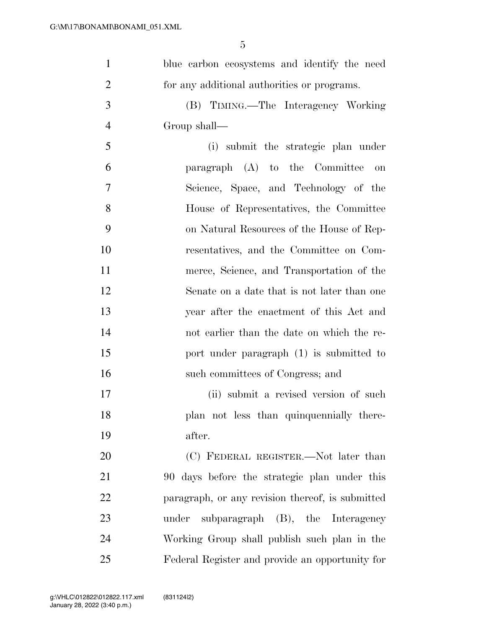| $\mathbf{1}$   | blue carbon ecosystems and identify the need     |
|----------------|--------------------------------------------------|
| $\overline{2}$ | for any additional authorities or programs.      |
| 3              | (B) TIMING.—The Interagency Working              |
| $\overline{4}$ | Group shall—                                     |
| 5              | (i) submit the strategic plan under              |
| 6              | paragraph (A) to the Committee<br>on             |
| 7              | Science, Space, and Technology of the            |
| 8              | House of Representatives, the Committee          |
| 9              | on Natural Resources of the House of Rep-        |
| 10             | resentatives, and the Committee on Com-          |
| 11             | merce, Science, and Transportation of the        |
| 12             | Senate on a date that is not later than one      |
| 13             | year after the enactment of this Act and         |
| 14             | not earlier than the date on which the re-       |
| 15             | port under paragraph (1) is submitted to         |
| 16             | such committees of Congress; and                 |
| 17             | (ii) submit a revised version of such            |
| 18             | plan not less than quinquennially there-         |
| 19             | after.                                           |
| 20             | (C) FEDERAL REGISTER.—Not later than             |
| 21             | 90 days before the strategic plan under this     |
| 22             | paragraph, or any revision thereof, is submitted |
| 23             | subparagraph (B), the Interagency<br>under       |
| 24             | Working Group shall publish such plan in the     |
| 25             | Federal Register and provide an opportunity for  |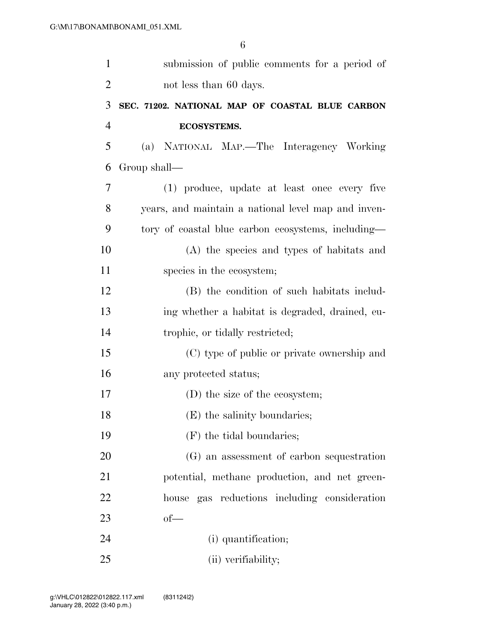| $\mathbf{1}$   | submission of public comments for a period of       |
|----------------|-----------------------------------------------------|
| $\overline{2}$ | not less than 60 days.                              |
| 3              | SEC. 71202. NATIONAL MAP OF COASTAL BLUE CARBON     |
| $\overline{4}$ | ECOSYSTEMS.                                         |
| 5              | (a) NATIONAL MAP.—The Interagency Working           |
| 6              | Group shall—                                        |
| $\overline{7}$ | (1) produce, update at least once every five        |
| 8              | years, and maintain a national level map and inven- |
| 9              | tory of coastal blue carbon ecosystems, including—  |
| 10             | (A) the species and types of habitats and           |
| 11             | species in the ecosystem;                           |
| 12             | (B) the condition of such habitats includ-          |
| 13             | ing whether a habitat is degraded, drained, eu-     |
| 14             | trophic, or tidally restricted;                     |
| 15             | (C) type of public or private ownership and         |
| 16             | any protected status;                               |
| 17             | (D) the size of the ecosystem;                      |
| 18             | (E) the salinity boundaries;                        |
| 19             | (F) the tidal boundaries;                           |
| 20             | (G) an assessment of carbon sequestration           |
| 21             | potential, methane production, and net green-       |
| 22             | house gas reductions including consideration        |
| 23             | $of$ —                                              |
| 24             | (i) quantification;                                 |
| 25             | (ii) verifiability;                                 |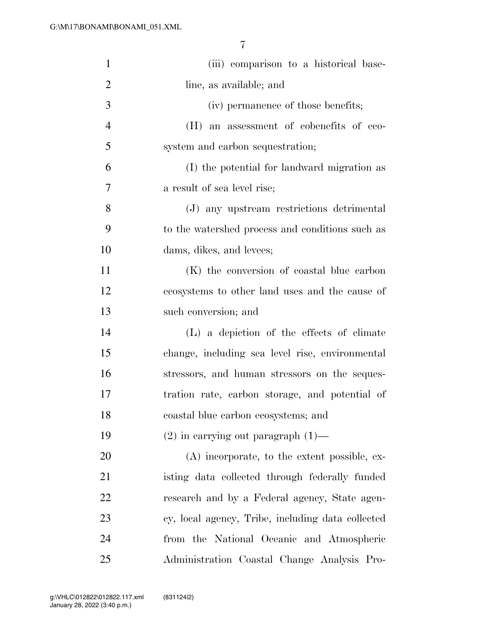| $\mathbf{1}$   | (iii) comparison to a historical base-            |
|----------------|---------------------------------------------------|
| $\overline{2}$ | line, as available; and                           |
| 3              | (iv) permanence of those benefits;                |
| $\overline{4}$ | (H) an assessment of cobenefits of eco-           |
| 5              | system and carbon sequestration;                  |
| 6              | (I) the potential for landward migration as       |
| 7              | a result of sea level rise;                       |
| 8              | (J) any upstream restrictions detrimental         |
| 9              | to the watershed process and conditions such as   |
| 10             | dams, dikes, and levees;                          |
| 11             | (K) the conversion of coastal blue carbon         |
| 12             | ecosystems to other land uses and the cause of    |
| 13             | such conversion; and                              |
| 14             | (L) a depiction of the effects of climate         |
| 15             | change, including sea level rise, environmental   |
| 16             | stressors, and human stressors on the seques-     |
| 17             | tration rate, carbon storage, and potential of    |
| 18             | coastal blue carbon ecosystems; and               |
| 19             | $(2)$ in carrying out paragraph $(1)$ —           |
| 20             | (A) incorporate, to the extent possible, ex-      |
| 21             | isting data collected through federally funded    |
| 22             | research and by a Federal agency, State agen-     |
| 23             | cy, local agency, Tribe, including data collected |
| 24             | from the National Oceanic and Atmospheric         |
| 25             | Administration Coastal Change Analysis Pro-       |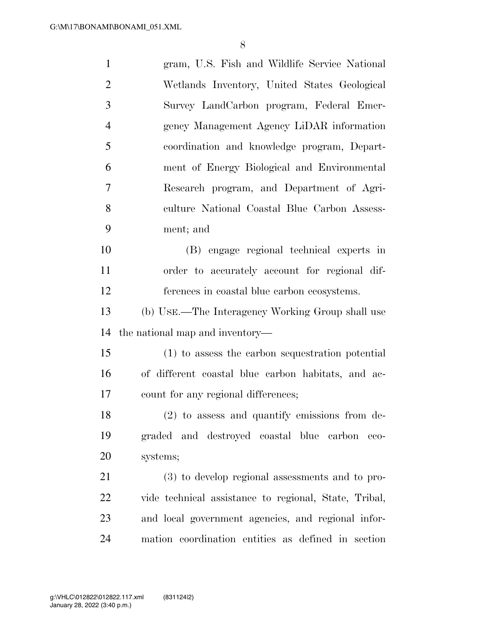| $\mathbf{1}$   | gram, U.S. Fish and Wildlife Service National         |
|----------------|-------------------------------------------------------|
| $\overline{2}$ | Wetlands Inventory, United States Geological          |
| 3              | Survey LandCarbon program, Federal Emer-              |
| $\overline{4}$ | gency Management Agency LiDAR information             |
| 5              | coordination and knowledge program, Depart-           |
| 6              | ment of Energy Biological and Environmental           |
| 7              | Research program, and Department of Agri-             |
| 8              | culture National Coastal Blue Carbon Assess-          |
| 9              | ment; and                                             |
| 10             | (B) engage regional technical experts in              |
| 11             | order to accurately account for regional dif-         |
| 12             | ferences in coastal blue carbon ecosystems.           |
| 13             | (b) USE.—The Interagency Working Group shall use      |
| 14             | the national map and inventory—                       |
| 15             | (1) to assess the carbon sequestration potential      |
| 16             | of different coastal blue carbon habitats, and ac-    |
| 17             | count for any regional differences;                   |
| 18             | (2) to assess and quantify emissions from de-         |
| 19             | graded and destroyed coastal blue carbon<br>$-$ eco-  |
| 20             | systems;                                              |
| 21             | (3) to develop regional assessments and to pro-       |
| 22             | vide technical assistance to regional, State, Tribal, |
| 23             | and local government agencies, and regional infor-    |
| 24             | mation coordination entities as defined in section    |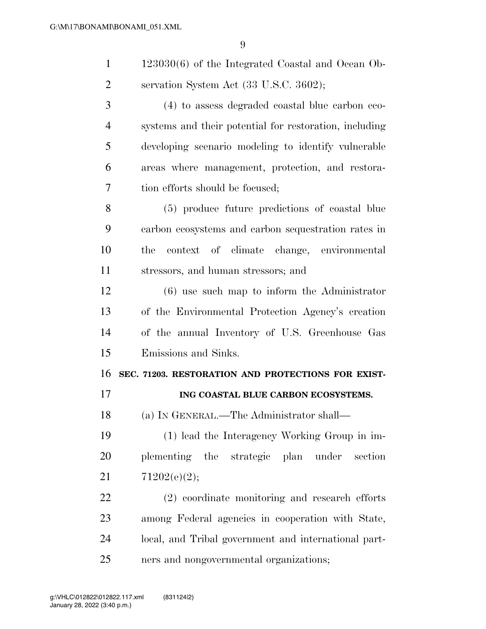| $\mathbf{1}$   | $123030(6)$ of the Integrated Coastal and Ocean Ob-    |
|----------------|--------------------------------------------------------|
| 2              | servation System Act (33 U.S.C. 3602);                 |
| 3              | (4) to assess degraded coastal blue carbon eco-        |
| $\overline{4}$ | systems and their potential for restoration, including |
| 5              | developing scenario modeling to identify vulnerable    |
| 6              | areas where management, protection, and restora-       |
| 7              | tion efforts should be focused;                        |
| 8              | (5) produce future predictions of coastal blue         |
| 9              | carbon ecosystems and carbon sequestration rates in    |
| 10             | context of climate change, environmental<br>the        |
| 11             | stressors, and human stressors; and                    |
| 12             | $(6)$ use such map to inform the Administrator         |
| 13             | of the Environmental Protection Agency's creation      |
| 14             | of the annual Inventory of U.S. Greenhouse Gas         |
| 15             | Emissions and Sinks.                                   |
| 16             | SEC. 71203. RESTORATION AND PROTECTIONS FOR EXIST-     |
| 17             | ING COASTAL BLUE CARBON ECOSYSTEMS.                    |
| 18             | (a) IN GENERAL.—The Administrator shall—               |
| 19             | (1) lead the Interagency Working Group in im-          |
| 20             | plementing the strategic<br>plan under<br>section      |
| 21             | 71202(e)(2);                                           |
| 22             | (2) coordinate monitoring and research efforts         |

 among Federal agencies in cooperation with State, local, and Tribal government and international part-ners and nongovernmental organizations;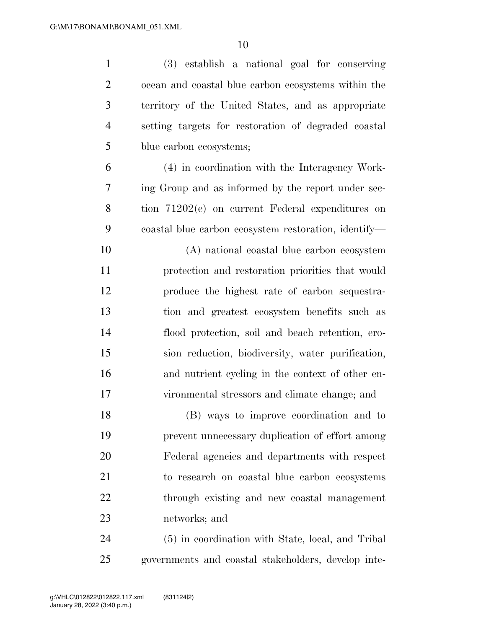| $\mathbf{1}$   | (3) establish a national goal for conserving         |
|----------------|------------------------------------------------------|
| $\overline{2}$ | ocean and coastal blue carbon ecosystems within the  |
| 3              | territory of the United States, and as appropriate   |
| $\overline{4}$ | setting targets for restoration of degraded coastal  |
| 5              | blue carbon ecosystems;                              |
| 6              | (4) in coordination with the Interagency Work-       |
| 7              | ing Group and as informed by the report under sec-   |
| 8              | tion 71202(e) on current Federal expenditures on     |
| 9              | coastal blue carbon ecosystem restoration, identify— |
| 10             | (A) national coastal blue carbon ecosystem           |
| 11             | protection and restoration priorities that would     |
| 12             | produce the highest rate of carbon sequestra-        |
| 13             | tion and greatest ecosystem benefits such as         |
| 14             | flood protection, soil and beach retention, ero-     |
| 15             | sion reduction, biodiversity, water purification,    |
| 16             | and nutrient cycling in the context of other en-     |
| 17             | vironmental stressors and climate change; and        |
| 18             | (B) ways to improve coordination and to              |
| 19             | prevent unnecessary duplication of effort among      |
| 20             | Federal agencies and departments with respect        |
| 21             | to research on coastal blue carbon ecosystems        |
| <u>22</u>      | through existing and new coastal management          |
| 23             | networks; and                                        |
| 24             | (5) in coordination with State, local, and Tribal    |
| 25             | governments and coastal stakeholders, develop inte-  |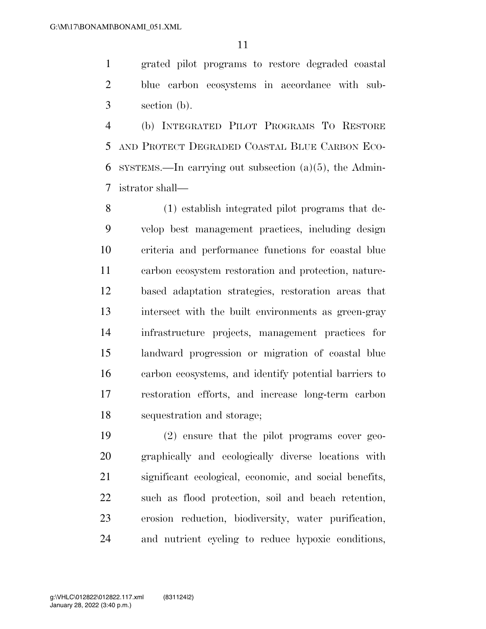grated pilot programs to restore degraded coastal blue carbon ecosystems in accordance with sub-section (b).

 (b) INTEGRATED PILOT PROGRAMS TO RESTORE AND PROTECT DEGRADED COASTAL BLUE CARBON ECO-6 SYSTEMS.—In carrying out subsection  $(a)(5)$ , the Admin-istrator shall—

 (1) establish integrated pilot programs that de- velop best management practices, including design criteria and performance functions for coastal blue carbon ecosystem restoration and protection, nature- based adaptation strategies, restoration areas that intersect with the built environments as green-gray infrastructure projects, management practices for landward progression or migration of coastal blue carbon ecosystems, and identify potential barriers to restoration efforts, and increase long-term carbon sequestration and storage;

 (2) ensure that the pilot programs cover geo- graphically and ecologically diverse locations with significant ecological, economic, and social benefits, such as flood protection, soil and beach retention, erosion reduction, biodiversity, water purification, and nutrient cycling to reduce hypoxic conditions,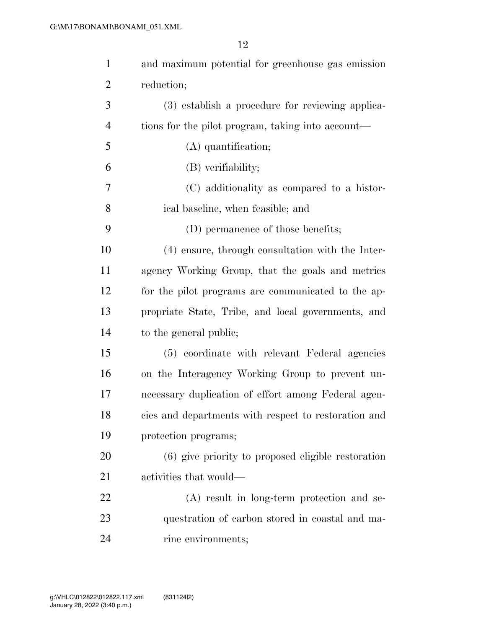| $\mathbf{1}$   | and maximum potential for greenhouse gas emission    |
|----------------|------------------------------------------------------|
| $\overline{2}$ | reduction;                                           |
| 3              | (3) establish a procedure for reviewing applica-     |
| $\overline{4}$ | tions for the pilot program, taking into account—    |
| 5              | (A) quantification;                                  |
| 6              | (B) verifiability;                                   |
| 7              | (C) additionality as compared to a histor-           |
| 8              | ical baseline, when feasible; and                    |
| 9              | (D) permanence of those benefits;                    |
| 10             | (4) ensure, through consultation with the Inter-     |
| 11             | agency Working Group, that the goals and metrics     |
| 12             | for the pilot programs are communicated to the ap-   |
| 13             | propriate State, Tribe, and local governments, and   |
| 14             | to the general public;                               |
| 15             | (5) coordinate with relevant Federal agencies        |
| 16             | on the Interagency Working Group to prevent un-      |
| 17             | necessary duplication of effort among Federal agen-  |
| 18             | cies and departments with respect to restoration and |
| 19             | protection programs;                                 |
| 20             | (6) give priority to proposed eligible restoration   |
| 21             | activities that would—                               |
| 22             | (A) result in long-term protection and se-           |
| 23             | questration of carbon stored in coastal and ma-      |
| 24             | rine environments;                                   |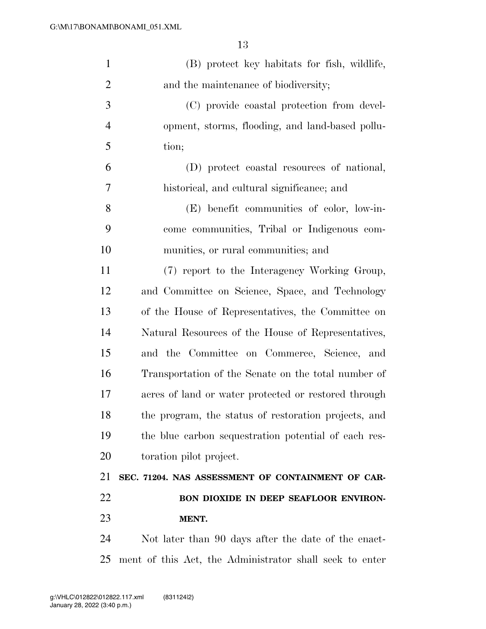| $\mathbf{1}$   | (B) protect key habitats for fish, wildlife,            |
|----------------|---------------------------------------------------------|
| $\overline{2}$ | and the maintenance of biodiversity;                    |
| 3              | (C) provide coastal protection from devel-              |
| $\overline{4}$ | opment, storms, flooding, and land-based pollu-         |
| 5              | tion;                                                   |
| 6              | (D) protect coastal resources of national,              |
| 7              | historical, and cultural significance; and              |
| 8              | (E) benefit communities of color, low-in-               |
| 9              | come communities, Tribal or Indigenous com-             |
| 10             | munities, or rural communities; and                     |
| 11             | (7) report to the Interagency Working Group,            |
| 12             | and Committee on Science, Space, and Technology         |
| 13             | of the House of Representatives, the Committee on       |
| 14             | Natural Resources of the House of Representatives,      |
| 15             | and the Committee on Commerce, Science, and             |
| 16             | Transportation of the Senate on the total number of     |
| 17             | acres of land or water protected or restored through    |
| 18             | the program, the status of restoration projects, and    |
| 19             | the blue carbon sequestration potential of each res-    |
| 20             | toration pilot project.                                 |
| 21             | SEC. 71204. NAS ASSESSMENT OF CONTAINMENT OF CAR-       |
| 22             | BON DIOXIDE IN DEEP SEAFLOOR ENVIRON-                   |
| 23             | MENT.                                                   |
| 24             | Not later than 90 days after the date of the enact-     |
| 25             | ment of this Act, the Administrator shall seek to enter |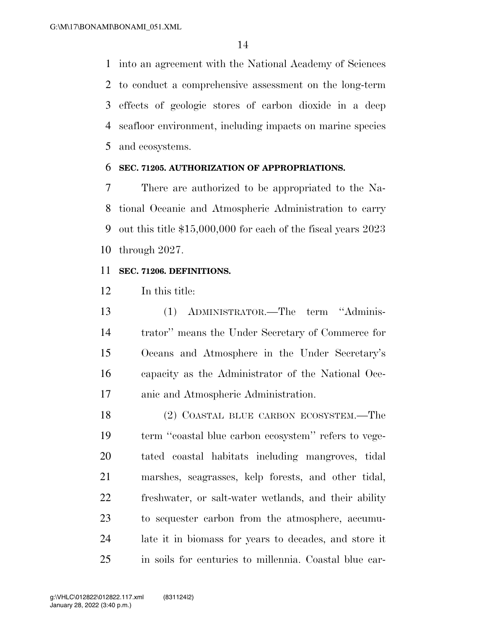into an agreement with the National Academy of Sciences to conduct a comprehensive assessment on the long-term effects of geologic stores of carbon dioxide in a deep seafloor environment, including impacts on marine species and ecosystems.

#### **SEC. 71205. AUTHORIZATION OF APPROPRIATIONS.**

 There are authorized to be appropriated to the Na- tional Oceanic and Atmospheric Administration to carry out this title \$15,000,000 for each of the fiscal years 2023 through 2027.

#### **SEC. 71206. DEFINITIONS.**

In this title:

 (1) ADMINISTRATOR.—The term ''Adminis- trator'' means the Under Secretary of Commerce for Oceans and Atmosphere in the Under Secretary's capacity as the Administrator of the National Oce-anic and Atmospheric Administration.

 (2) COASTAL BLUE CARBON ECOSYSTEM.—The term ''coastal blue carbon ecosystem'' refers to vege- tated coastal habitats including mangroves, tidal marshes, seagrasses, kelp forests, and other tidal, freshwater, or salt-water wetlands, and their ability to sequester carbon from the atmosphere, accumu- late it in biomass for years to decades, and store it in soils for centuries to millennia. Coastal blue car-